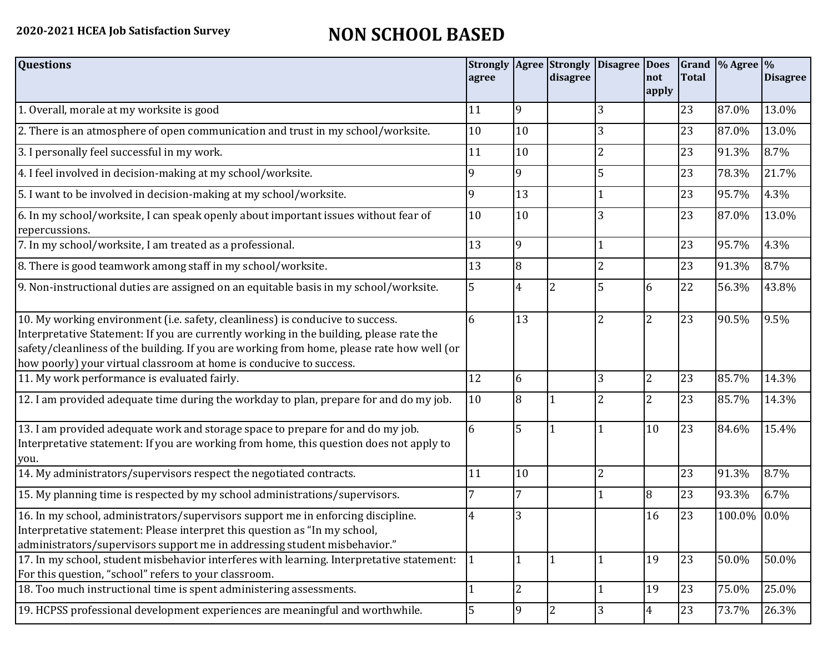## **2020-2021 HCEA Job Satisfaction Survey NON SCHOOL BASED**

| <b>Questions</b>                                                                                                                                                                                                                                                                                                                               | agree |                | <b>Strongly   Agree   Strongly</b><br>disagree | Disagree   Does | not<br>apply   | <b>Total</b> | Grand  % Agree  % | <b>Disagree</b> |
|------------------------------------------------------------------------------------------------------------------------------------------------------------------------------------------------------------------------------------------------------------------------------------------------------------------------------------------------|-------|----------------|------------------------------------------------|-----------------|----------------|--------------|-------------------|-----------------|
| 1. Overall, morale at my worksite is good                                                                                                                                                                                                                                                                                                      | 11    | 9              |                                                | 3               |                | 23           | 87.0%             | 13.0%           |
| 2. There is an atmosphere of open communication and trust in my school/worksite.                                                                                                                                                                                                                                                               | 10    | 10             |                                                | 3               |                | 23           | 87.0%             | 13.0%           |
| 3. I personally feel successful in my work.                                                                                                                                                                                                                                                                                                    | 11    | 10             |                                                | $\overline{2}$  |                | 23           | 91.3%             | 8.7%            |
| 4. I feel involved in decision-making at my school/worksite.                                                                                                                                                                                                                                                                                   | 9     | 9              |                                                | 5               |                | 23           | 78.3%             | 21.7%           |
| 5. I want to be involved in decision-making at my school/worksite.                                                                                                                                                                                                                                                                             | 9     | 13             |                                                |                 |                | 23           | 95.7%             | 4.3%            |
| 6. In my school/worksite, I can speak openly about important issues without fear of<br>repercussions.                                                                                                                                                                                                                                          | 10    | 10             |                                                | 3               |                | 23           | 87.0%             | 13.0%           |
| 7. In my school/worksite, I am treated as a professional.                                                                                                                                                                                                                                                                                      | 13    | 9              |                                                |                 |                | 23           | 95.7%             | 4.3%            |
| 8. There is good teamwork among staff in my school/worksite.                                                                                                                                                                                                                                                                                   | 13    | 8              |                                                | $\overline{2}$  |                | 23           | 91.3%             | 8.7%            |
| 9. Non-instructional duties are assigned on an equitable basis in my school/worksite.                                                                                                                                                                                                                                                          | 5     | 4              | $\overline{2}$                                 | 5               | 6              | 22           | 56.3%             | 43.8%           |
| 10. My working environment (i.e. safety, cleanliness) is conducive to success.<br>Interpretative Statement: If you are currently working in the building, please rate the<br>safety/cleanliness of the building. If you are working from home, please rate how well (or<br>how poorly) your virtual classroom at home is conducive to success. | 6     | 13             |                                                | $\overline{2}$  | $\overline{2}$ | 23           | 90.5%             | 9.5%            |
| 11. My work performance is evaluated fairly.                                                                                                                                                                                                                                                                                                   | 12    | 6              |                                                | 3               | $\overline{2}$ | 23           | 85.7%             | 14.3%           |
| 12. I am provided adequate time during the workday to plan, prepare for and do my job.                                                                                                                                                                                                                                                         | 10    | 8              |                                                | 2               | $\overline{2}$ | 23           | 85.7%             | 14.3%           |
| 13. I am provided adequate work and storage space to prepare for and do my job.<br>Interpretative statement: If you are working from home, this question does not apply to<br>you.                                                                                                                                                             | 6     | 5              |                                                |                 | 10             | 23           | 84.6%             | 15.4%           |
| 14. My administrators/supervisors respect the negotiated contracts.                                                                                                                                                                                                                                                                            | 11    | 10             |                                                | $\overline{2}$  |                | 23           | 91.3%             | 8.7%            |
| 15. My planning time is respected by my school administrations/supervisors.                                                                                                                                                                                                                                                                    |       | 7              |                                                |                 | 8              | 23           | 93.3%             | 6.7%            |
| 16. In my school, administrators/supervisors support me in enforcing discipline.<br>Interpretative statement: Please interpret this question as "In my school,<br>administrators/supervisors support me in addressing student misbehavior."                                                                                                    | 4     | 3              |                                                |                 | 16             | 23           | 100.0%            | 0.0%            |
| 17. In my school, student misbehavior interferes with learning. Interpretative statement:<br>For this question, "school" refers to your classroom.                                                                                                                                                                                             |       | 1              |                                                |                 | 19             | 23           | 50.0%             | 50.0%           |
| 18. Too much instructional time is spent administering assessments.                                                                                                                                                                                                                                                                            |       | $\overline{2}$ |                                                |                 | 19             | 23           | 75.0%             | 25.0%           |
| 19. HCPSS professional development experiences are meaningful and worthwhile.                                                                                                                                                                                                                                                                  | 5     | 9              | $\overline{2}$                                 | 3               | $\overline{4}$ | 23           | 73.7%             | 26.3%           |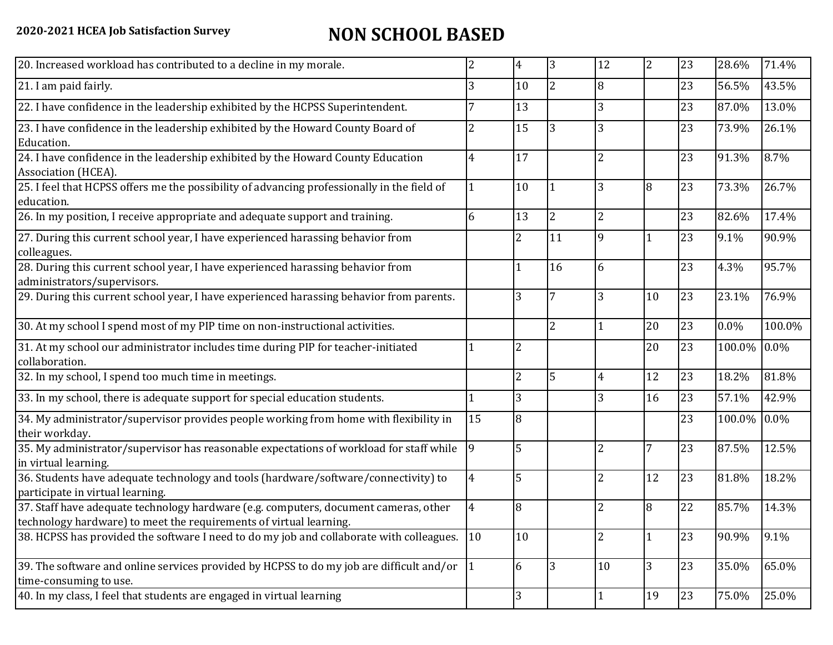## **2020-2021 HCEA Job Satisfaction Survey NON SCHOOL BASED**

| 20. Increased workload has contributed to a decline in my morale.                                                                                          | 2         | 4              | 3              | 12             | $\overline{2}$ | 23 | 28.6%  | 71.4%   |
|------------------------------------------------------------------------------------------------------------------------------------------------------------|-----------|----------------|----------------|----------------|----------------|----|--------|---------|
| 21. I am paid fairly.                                                                                                                                      | 3         | 10             | $\overline{2}$ | 8              |                | 23 | 56.5%  | 43.5%   |
| 22. I have confidence in the leadership exhibited by the HCPSS Superintendent.                                                                             |           | 13             |                | 3              |                | 23 | 87.0%  | 13.0%   |
| 23. I have confidence in the leadership exhibited by the Howard County Board of<br>Education.                                                              | 2         | 15             | 3              | 3              |                | 23 | 73.9%  | 26.1%   |
| 24. I have confidence in the leadership exhibited by the Howard County Education<br>Association (HCEA).                                                    | 4         | 17             |                | $\overline{2}$ |                | 23 | 91.3%  | 8.7%    |
| 25. I feel that HCPSS offers me the possibility of advancing professionally in the field of<br>education.                                                  |           | 10             |                | 3              | 8              | 23 | 73.3%  | 26.7%   |
| 26. In my position, I receive appropriate and adequate support and training.                                                                               | 6         | 13             | $\overline{2}$ | $\overline{2}$ |                | 23 | 82.6%  | 17.4%   |
| 27. During this current school year, I have experienced harassing behavior from<br>colleagues.                                                             |           | $\overline{2}$ | 11             | 9              |                | 23 | 9.1%   | 90.9%   |
| 28. During this current school year, I have experienced harassing behavior from<br>administrators/supervisors.                                             |           | 1              | 16             | 6              |                | 23 | 4.3%   | 95.7%   |
| 29. During this current school year, I have experienced harassing behavior from parents.                                                                   |           | 3              |                | 3              | 10             | 23 | 23.1%  | 76.9%   |
| 30. At my school I spend most of my PIP time on non-instructional activities.                                                                              |           |                | $\overline{2}$ |                | 20             | 23 | 0.0%   | 100.0%  |
| 31. At my school our administrator includes time during PIP for teacher-initiated<br>collaboration.                                                        |           | 2              |                |                | 20             | 23 | 100.0% | $0.0\%$ |
| 32. In my school, I spend too much time in meetings.                                                                                                       |           | $\overline{2}$ | 5              | 4              | 12             | 23 | 18.2%  | 81.8%   |
| 33. In my school, there is adequate support for special education students.                                                                                |           | 3              |                | 3              | 16             | 23 | 57.1%  | 42.9%   |
| 34. My administrator/supervisor provides people working from home with flexibility in<br>their workday.                                                    | 15        | 8              |                |                |                | 23 | 100.0% | 0.0%    |
| 35. My administrator/supervisor has reasonable expectations of workload for staff while<br>in virtual learning.                                            | 9         | 5              |                | 2              | 7              | 23 | 87.5%  | 12.5%   |
| 36. Students have adequate technology and tools (hardware/software/connectivity) to<br>participate in virtual learning.                                    | 4         | 5              |                | 2              | 12             | 23 | 81.8%  | 18.2%   |
| 37. Staff have adequate technology hardware (e.g. computers, document cameras, other<br>technology hardware) to meet the requirements of virtual learning. | 4         | 8              |                | $\overline{2}$ | 8              | 22 | 85.7%  | 14.3%   |
| 38. HCPSS has provided the software I need to do my job and collaborate with colleagues.                                                                   | 10        | 10             |                | $\overline{2}$ |                | 23 | 90.9%  | 9.1%    |
| 39. The software and online services provided by HCPSS to do my job are difficult and/or<br>time-consuming to use.                                         | $\vert$ 1 | 6              | 3              | 10             | 3              | 23 | 35.0%  | 65.0%   |
| 40. In my class, I feel that students are engaged in virtual learning                                                                                      |           | 3              |                |                | 19             | 23 | 75.0%  | 25.0%   |